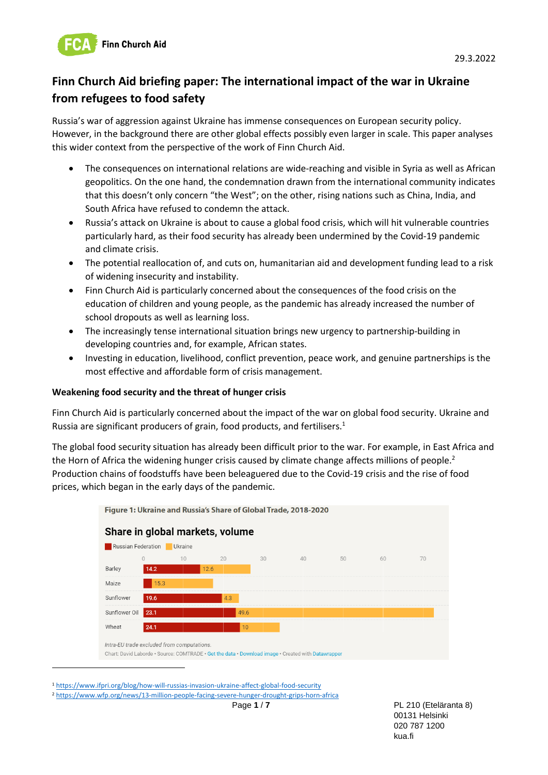

# **Finn Church Aid briefing paper: The international impact of the war in Ukraine from refugees to food safety**

Russia's war of aggression against Ukraine has immense consequences on European security policy. However, in the background there are other global effects possibly even larger in scale. This paper analyses this wider context from the perspective of the work of Finn Church Aid.

- The consequences on international relations are wide-reaching and visible in Syria as well as African geopolitics. On the one hand, the condemnation drawn from the international community indicates that this doesn't only concern "the West"; on the other, rising nations such as China, India, and South Africa have refused to condemn the attack.
- Russia's attack on Ukraine is about to cause a global food crisis, which will hit vulnerable countries particularly hard, as their food security has already been undermined by the Covid-19 pandemic and climate crisis.
- The potential reallocation of, and cuts on, humanitarian aid and development funding lead to a risk of widening insecurity and instability.
- Finn Church Aid is particularly concerned about the consequences of the food crisis on the education of children and young people, as the pandemic has already increased the number of school dropouts as well as learning loss.
- The increasingly tense international situation brings new urgency to partnership-building in developing countries and, for example, African states.
- Investing in education, livelihood, conflict prevention, peace work, and genuine partnerships is the most effective and affordable form of crisis management.

#### **Weakening food security and the threat of hunger crisis**

Finn Church Aid is particularly concerned about the impact of the war on global food security. Ukraine and Russia are significant producers of grain, food products, and fertilisers.<sup>1</sup>

The global food security situation has already been difficult prior to the war. For example, in East Africa and the Horn of Africa the widening hunger crisis caused by climate change affects millions of people.<sup>2</sup> Production chains of foodstuffs have been beleaguered due to the Covid-19 crisis and the rise of food prices, which began in the early days of the pandemic.



Figure 1: Ukraine and Russia's Share of Global Trade, 2018-2020

Page **1** / **7** PL 210 (Eteläranta 8) 00131 Helsinki 020 787 1200 kua.fi

<sup>1</sup> <https://www.ifpri.org/blog/how-will-russias-invasion-ukraine-affect-global-food-security> <sup>2</sup> <https://www.wfp.org/news/13-million-people-facing-severe-hunger-drought-grips-horn-africa>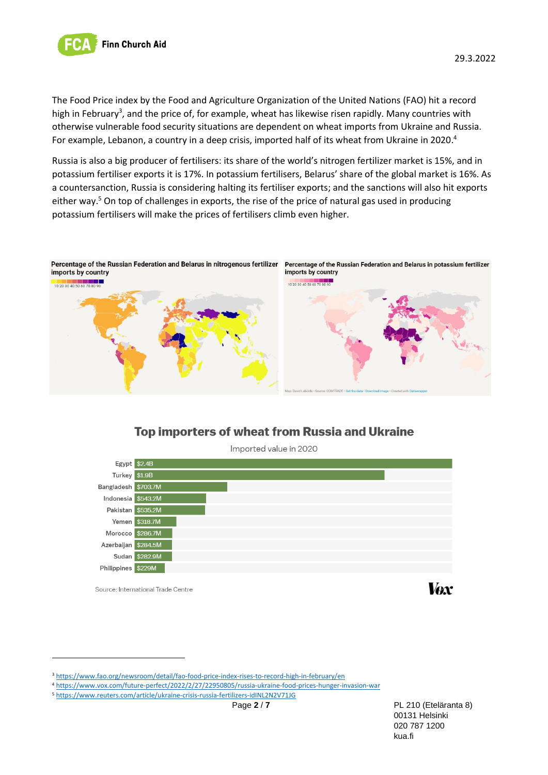

29.3.2022

The Food Price index by the Food and Agriculture Organization of the United Nations (FAO) hit a record high in February<sup>3</sup>, and the price of, for example, wheat has likewise risen rapidly. Many countries with otherwise vulnerable food security situations are dependent on wheat imports from Ukraine and Russia. For example, Lebanon, a country in a deep crisis, imported half of its wheat from Ukraine in 2020.<sup>4</sup>

Russia is also a big producer of fertilisers: its share of the world's nitrogen fertilizer market is 15%, and in potassium fertiliser exports it is 17%. In potassium fertilisers, Belarus' share of the global market is 16%. As a countersanction, Russia is considering halting its fertiliser exports; and the sanctions will also hit exports either way.<sup>5</sup> On top of challenges in exports, the rise of the price of natural gas used in producing potassium fertilisers will make the prices of fertilisers climb even higher.



# **Top importers of wheat from Russia and Ukraine** Imported value in 2020



Source: International Trade Centre



<sup>3</sup> <https://www.fao.org/newsroom/detail/fao-food-price-index-rises-to-record-high-in-february/en>

<sup>4</sup> <https://www.vox.com/future-perfect/2022/2/27/22950805/russia-ukraine-food-prices-hunger-invasion-war>

<sup>5</sup> <https://www.reuters.com/article/ukraine-crisis-russia-fertilizers-idINL2N2V71JG>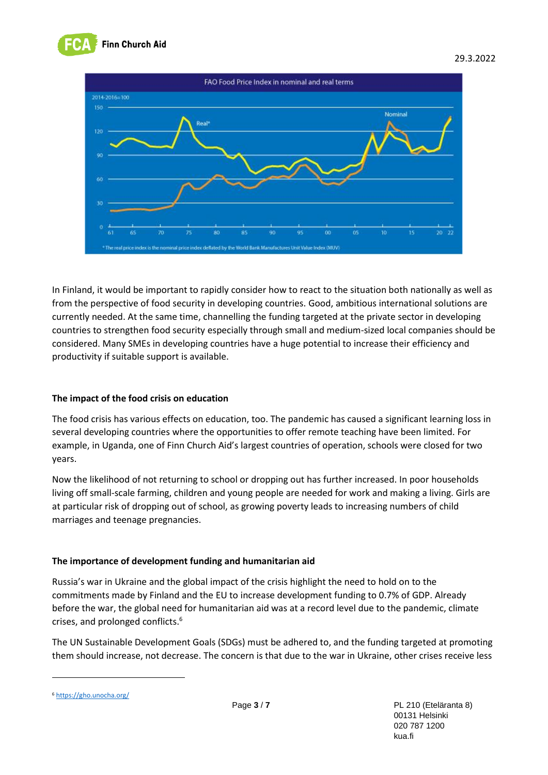



In Finland, it would be important to rapidly consider how to react to the situation both nationally as well as from the perspective of food security in developing countries. Good, ambitious international solutions are currently needed. At the same time, channelling the funding targeted at the private sector in developing countries to strengthen food security especially through small and medium-sized local companies should be considered. Many SMEs in developing countries have a huge potential to increase their efficiency and productivity if suitable support is available.

# **The impact of the food crisis on education**

The food crisis has various effects on education, too. The pandemic has caused a significant learning loss in several developing countries where the opportunities to offer remote teaching have been limited. For example, in Uganda, one of Finn Church Aid's largest countries of operation, schools were closed for two years.

Now the likelihood of not returning to school or dropping out has further increased. In poor households living off small-scale farming, children and young people are needed for work and making a living. Girls are at particular risk of dropping out of school, as growing poverty leads to increasing numbers of child marriages and teenage pregnancies.

# **The importance of development funding and humanitarian aid**

Russia's war in Ukraine and the global impact of the crisis highlight the need to hold on to the commitments made by Finland and the EU to increase development funding to 0.7% of GDP. Already before the war, the global need for humanitarian aid was at a record level due to the pandemic, climate crises, and prolonged conflicts.<sup>6</sup>

The UN Sustainable Development Goals (SDGs) must be adhered to, and the funding targeted at promoting them should increase, not decrease. The concern is that due to the war in Ukraine, other crises receive less

<sup>6</sup> <https://gho.unocha.org/>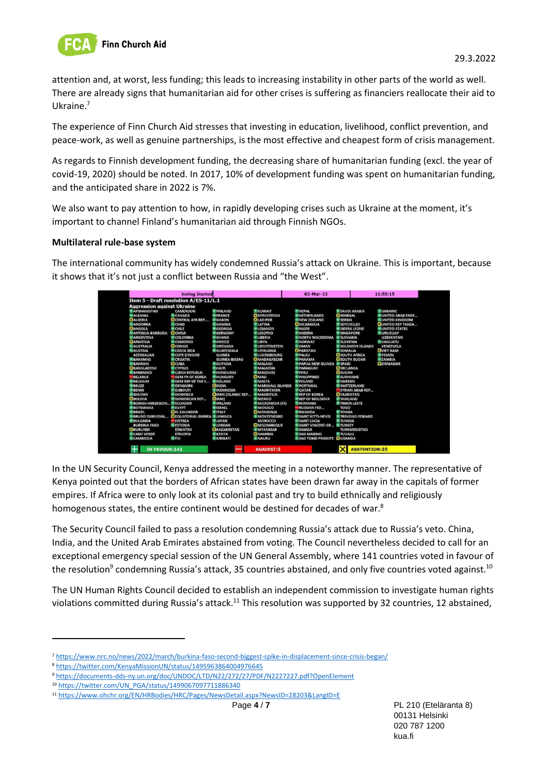

attention and, at worst, less funding; this leads to increasing instability in other parts of the world as well. There are already signs that humanitarian aid for other crises is suffering as financiers reallocate their aid to Ukraine.<sup>7</sup>

The experience of Finn Church Aid stresses that investing in education, livelihood, conflict prevention, and peace-work, as well as genuine partnerships, is the most effective and cheapest form of crisis management.

As regards to Finnish development funding, the decreasing share of humanitarian funding (excl. the year of covid-19, 2020) should be noted. In 2017, 10% of development funding was spent on humanitarian funding, and the anticipated share in 2022 is 7%.

We also want to pay attention to how, in rapidly developing crises such as Ukraine at the moment, it's important to channel Finland's humanitarian aid through Finnish NGOs.

#### **Multilateral rule-base system**

The international community has widely condemned Russia's attack on Ukraine. This is important, because it shows that it's not just a conflict between Russia and "the West".



In the UN Security Council, Kenya addressed the meeting in a noteworthy manner. The representative of Kenya pointed out that the borders of African states have been drawn far away in the capitals of former empires. If Africa were to only look at its colonial past and try to build ethnically and religiously homogenous states, the entire continent would be destined for decades of war.<sup>8</sup>

The Security Council failed to pass a resolution condemning Russia's attack due to Russia's veto. China, India, and the United Arab Emirates abstained from voting. The Council nevertheless decided to call for an exceptional emergency special session of the UN General Assembly, where 141 countries voted in favour of the resolution<sup>9</sup> condemning Russia's attack, 35 countries abstained, and only five countries voted against.<sup>10</sup>

The UN Human Rights Council decided to establish an independent commission to investigate human rights violations committed during Russia's attack.<sup>11</sup> This resolution was supported by 32 countries, 12 abstained,

<sup>7</sup> <https://www.nrc.no/news/2022/march/burkina-faso-second-biggest-spike-in-displacement-since-crisis-began/>

<sup>8</sup> <https://twitter.com/KenyaMissionUN/status/1495963864004976645>

<sup>9</sup> <https://documents-dds-ny.un.org/doc/UNDOC/LTD/N22/272/27/PDF/N2227227.pdf?OpenElement>

<sup>10</sup> [https://twitter.com/UN\\_PGA/status/1499067097711886340](https://twitter.com/UN_PGA/status/1499067097711886340)

<sup>11</sup> <https://www.ohchr.org/EN/HRBodies/HRC/Pages/NewsDetail.aspx?NewsID=28203&LangID=E>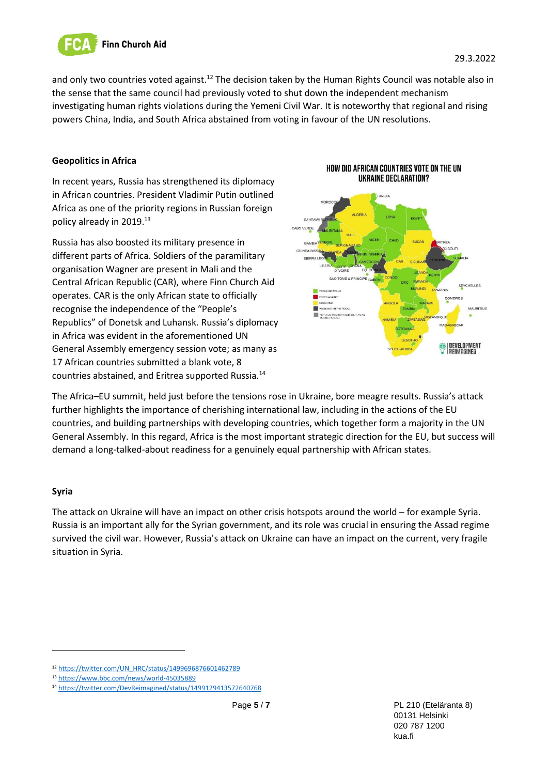

and only two countries voted against.<sup>12</sup> The decision taken by the Human Rights Council was notable also in the sense that the same council had previously voted to shut down the independent mechanism investigating human rights violations during the Yemeni Civil War. It is noteworthy that regional and rising powers China, India, and South Africa abstained from voting in favour of the UN resolutions.

#### **Geopolitics in Africa**

In recent years, Russia has strengthened its diplomacy in African countries. President Vladimir Putin outlined Africa as one of the priority regions in Russian foreign policy already in 2019.<sup>13</sup>

Russia has also boosted its military presence in different parts of Africa. Soldiers of the paramilitary organisation Wagner are present in Mali and the Central African Republic (CAR), where Finn Church Aid operates. CAR is the only African state to officially recognise the independence of the "People's Republics" of Donetsk and Luhansk. Russia's diplomacy in Africa was evident in the aforementioned UN General Assembly emergency session vote; as many as 17 African countries submitted a blank vote, 8 countries abstained, and Eritrea supported Russia.<sup>14</sup>





The Africa–EU summit, held just before the tensions rose in Ukraine, bore meagre results. Russia's attack further highlights the importance of cherishing international law, including in the actions of the EU countries, and building partnerships with developing countries, which together form a majority in the UN General Assembly. In this regard, Africa is the most important strategic direction for the EU, but success will demand a long-talked-about readiness for a genuinely equal partnership with African states.

# **Syria**

The attack on Ukraine will have an impact on other crisis hotspots around the world – for example Syria. Russia is an important ally for the Syrian government, and its role was crucial in ensuring the Assad regime survived the civil war. However, Russia's attack on Ukraine can have an impact on the current, very fragile situation in Syria.

<sup>12</sup> [https://twitter.com/UN\\_HRC/status/1499696876601462789](https://twitter.com/UN_HRC/status/1499696876601462789)

<sup>13</sup> <https://www.bbc.com/news/world-45035889>

<sup>14</sup> <https://twitter.com/DevReimagined/status/1499129413572640768>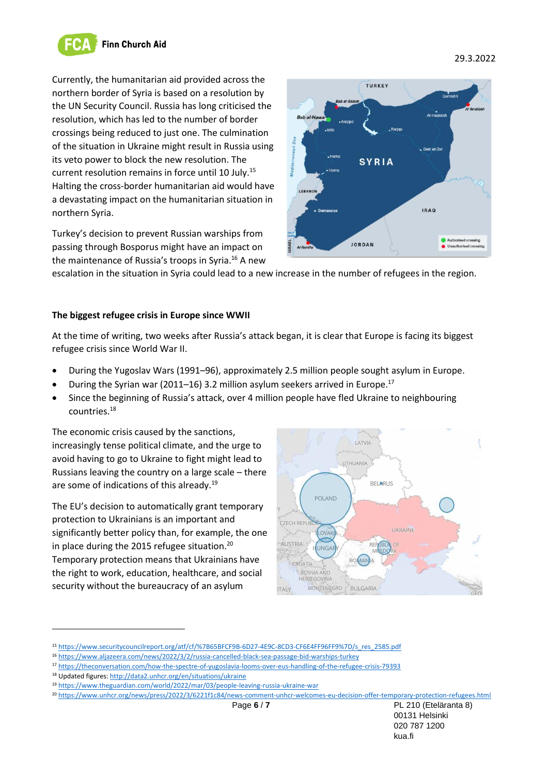

Currently, the humanitarian aid provided across the northern border of Syria is based on a resolution by the UN Security Council. Russia has long criticised the resolution, which has led to the number of border crossings being reduced to just one. The culmination of the situation in Ukraine might result in Russia using its veto power to block the new resolution. The current resolution remains in force until 10 July.<sup>15</sup> Halting the cross-border humanitarian aid would have a devastating impact on the humanitarian situation in northern Syria.

Turkey's decision to prevent Russian warships from passing through Bosporus might have an impact on the maintenance of Russia's troops in Syria.<sup>16</sup> A new



escalation in the situation in Syria could lead to a new increase in the number of refugees in the region.

#### **The biggest refugee crisis in Europe since WWII**

At the time of writing, two weeks after Russia's attack began, it is clear that Europe is facing its biggest refugee crisis since World War II.

- During the Yugoslav Wars (1991–96), approximately 2.5 million people sought asylum in Europe.
- During the Syrian war (2011–16) 3.2 million asylum seekers arrived in Europe.<sup>17</sup>
- Since the beginning of Russia's attack, over 4 million people have fled Ukraine to neighbouring countries.<sup>18</sup>

The economic crisis caused by the sanctions, increasingly tense political climate, and the urge to avoid having to go to Ukraine to fight might lead to Russians leaving the country on a large scale – there are some of indications of this already.<sup>19</sup>

The EU's decision to automatically grant temporary protection to Ukrainians is an important and significantly better policy than, for example, the one in place during the 2015 refugee situation.<sup>20</sup> Temporary protection means that Ukrainians have the right to work, education, healthcare, and social security without the bureaucracy of an asylum



<sup>20</sup> <https://www.unhcr.org/news/press/2022/3/6221f1c84/news-comment-unhcr-welcomes-eu-decision-offer-temporary-protection-refugees.html>

Page **6** / **7** PL 210 (Eteläranta 8)

<sup>15</sup> [https://www.securitycouncilreport.org/atf/cf/%7B65BFCF9B-6D27-4E9C-8CD3-CF6E4FF96FF9%7D/s\\_res\\_2585.pdf](https://www.securitycouncilreport.org/atf/cf/%7B65BFCF9B-6D27-4E9C-8CD3-CF6E4FF96FF9%7D/s_res_2585.pdf)

<sup>16</sup> <https://www.aljazeera.com/news/2022/3/2/russia-cancelled-black-sea-passage-bid-warships-turkey>

<sup>17</sup> <https://theconversation.com/how-the-spectre-of-yugoslavia-looms-over-eus-handling-of-the-refugee-crisis-79393>

<sup>18</sup> Updated figures[: http://data2.unhcr.org/en/situations/ukraine](http://data2.unhcr.org/en/situations/ukraine)

<sup>19</sup> <https://www.theguardian.com/world/2022/mar/03/people-leaving-russia-ukraine-war>